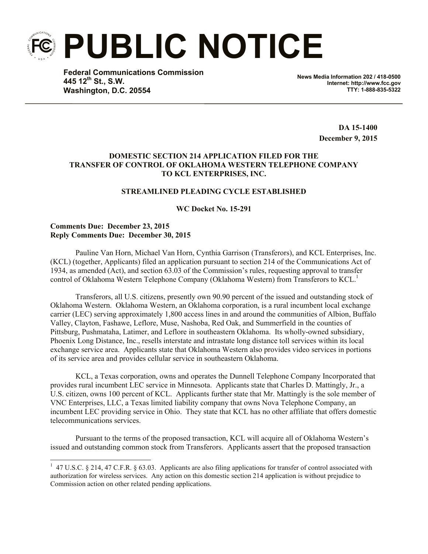**PUBLIC NOTICE**

**Federal Communications Commission 445 12th St., S.W. Washington, D.C. 20554**

**News Media Information 202 / 418-0500 Internet: http://www.fcc.gov TTY: 1-888-835-5322**

> **DA 15-1400 December 9, 2015**

# **DOMESTIC SECTION 214 APPLICATION FILED FOR THE TRANSFER OF CONTROL OF OKLAHOMA WESTERN TELEPHONE COMPANY TO KCL ENTERPRISES, INC.**

## **STREAMLINED PLEADING CYCLE ESTABLISHED**

**WC Docket No. 15-291**

# **Comments Due: December 23, 2015 Reply Comments Due: December 30, 2015**

 $\overline{a}$ 

Pauline Van Horn, Michael Van Horn, Cynthia Garrison (Transferors), and KCL Enterprises, Inc. (KCL) (together, Applicants) filed an application pursuant to section 214 of the Communications Act of 1934, as amended (Act), and section 63.03 of the Commission's rules, requesting approval to transfer control of Oklahoma Western Telephone Company (Oklahoma Western) from Transferors to KCL.<sup>1</sup>

Transferors, all U.S. citizens, presently own 90.90 percent of the issued and outstanding stock of Oklahoma Western. Oklahoma Western, an Oklahoma corporation, is a rural incumbent local exchange carrier (LEC) serving approximately 1,800 access lines in and around the communities of Albion, Buffalo Valley, Clayton, Fashawe, Leflore, Muse, Nashoba, Red Oak, and Summerfield in the counties of Pittsburg, Pushmataha, Latimer, and Leflore in southeastern Oklahoma. Its wholly-owned subsidiary, Phoenix Long Distance, Inc., resells interstate and intrastate long distance toll services within its local exchange service area. Applicants state that Oklahoma Western also provides video services in portions of its service area and provides cellular service in southeastern Oklahoma.

KCL, a Texas corporation, owns and operates the Dunnell Telephone Company Incorporated that provides rural incumbent LEC service in Minnesota. Applicants state that Charles D. Mattingly, Jr., a U.S. citizen, owns 100 percent of KCL. Applicants further state that Mr. Mattingly is the sole member of VNC Enterprises, LLC, a Texas limited liability company that owns Nova Telephone Company, an incumbent LEC providing service in Ohio. They state that KCL has no other affiliate that offers domestic telecommunications services.

Pursuant to the terms of the proposed transaction, KCL will acquire all of Oklahoma Western's issued and outstanding common stock from Transferors. Applicants assert that the proposed transaction

<sup>&</sup>lt;sup>1</sup> 47 U.S.C. § 214, 47 C.F.R. § 63.03. Applicants are also filing applications for transfer of control associated with authorization for wireless services. Any action on this domestic section 214 application is without prejudice to Commission action on other related pending applications.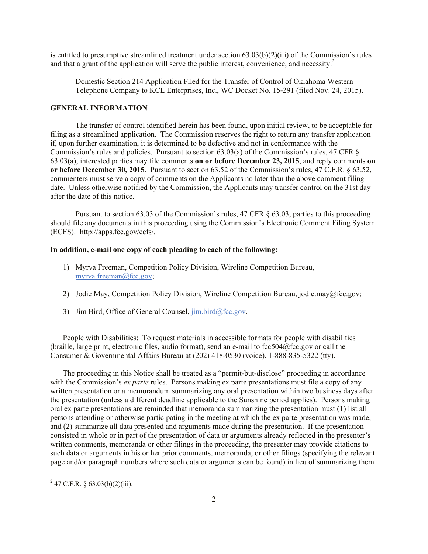is entitled to presumptive streamlined treatment under section 63.03(b)(2)(iii) of the Commission's rules and that a grant of the application will serve the public interest, convenience, and necessity.<sup>2</sup>

Domestic Section 214 Application Filed for the Transfer of Control of Oklahoma Western Telephone Company to KCL Enterprises, Inc., WC Docket No. 15-291 (filed Nov. 24, 2015).

#### **GENERAL INFORMATION**

The transfer of control identified herein has been found, upon initial review, to be acceptable for filing as a streamlined application. The Commission reserves the right to return any transfer application if, upon further examination, it is determined to be defective and not in conformance with the Commission's rules and policies. Pursuant to section  $63.03(a)$  of the Commission's rules, 47 CFR  $\S$ 63.03(a), interested parties may file comments **on or before December 23, 2015**, and reply comments **on or before December 30, 2015**. Pursuant to section 63.52 of the Commission's rules, 47 C.F.R. § 63.52, commenters must serve a copy of comments on the Applicants no later than the above comment filing date. Unless otherwise notified by the Commission, the Applicants may transfer control on the 31st day after the date of this notice.

Pursuant to section 63.03 of the Commission's rules, 47 CFR § 63.03, parties to this proceeding should file any documents in this proceeding using the Commission's Electronic Comment Filing System (ECFS): http://apps.fcc.gov/ecfs/.

#### **In addition, e-mail one copy of each pleading to each of the following:**

- 1) Myrva Freeman, Competition Policy Division, Wireline Competition Bureau, myrva.freeman@fcc.gov;
- 2) Jodie May, Competition Policy Division, Wireline Competition Bureau, jodie.may@fcc.gov;
- 3) Jim Bird, Office of General Counsel,  $\lim_{\alpha \to 0}$  bird@fcc.gov.

People with Disabilities: To request materials in accessible formats for people with disabilities (braille, large print, electronic files, audio format), send an e-mail to  $fcc504@$ fcc.gov or call the Consumer & Governmental Affairs Bureau at (202) 418-0530 (voice), 1-888-835-5322 (tty).

The proceeding in this Notice shall be treated as a "permit-but-disclose" proceeding in accordance with the Commission's *ex parte* rules. Persons making ex parte presentations must file a copy of any written presentation or a memorandum summarizing any oral presentation within two business days after the presentation (unless a different deadline applicable to the Sunshine period applies). Persons making oral ex parte presentations are reminded that memoranda summarizing the presentation must (1) list all persons attending or otherwise participating in the meeting at which the ex parte presentation was made, and (2) summarize all data presented and arguments made during the presentation. If the presentation consisted in whole or in part of the presentation of data or arguments already reflected in the presenter's written comments, memoranda or other filings in the proceeding, the presenter may provide citations to such data or arguments in his or her prior comments, memoranda, or other filings (specifying the relevant page and/or paragraph numbers where such data or arguments can be found) in lieu of summarizing them

<sup>&</sup>lt;sup>2</sup> 47 C.F.R. § 63.03(b)(2)(iii).